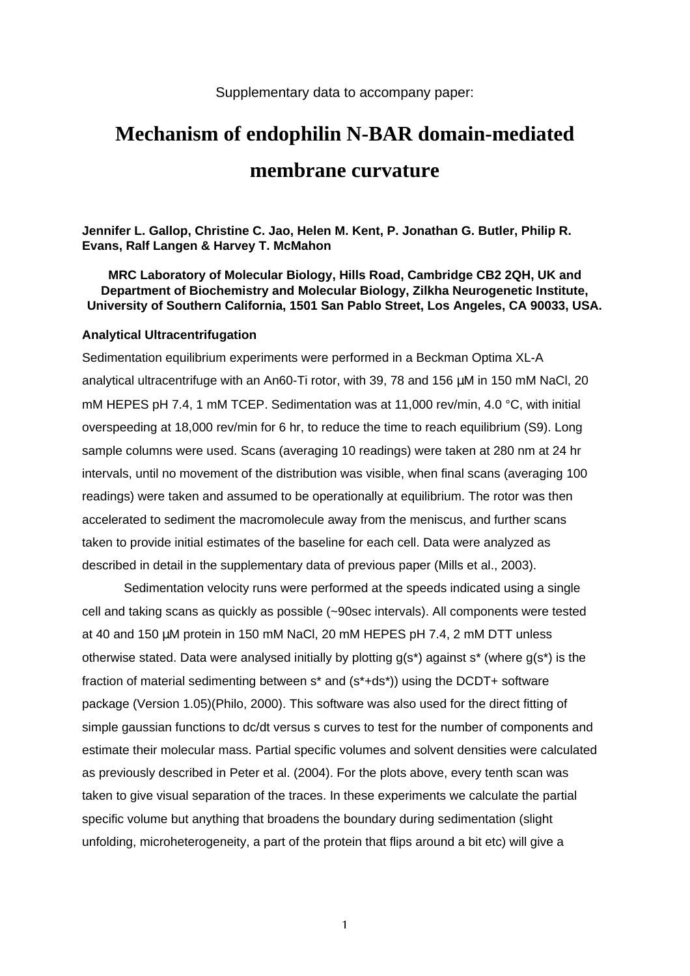## Supplementary data to accompany paper:

# **Mechanism of endophilin N-BAR domain-mediated membrane curvature**

**Jennifer L. Gallop, Christine C. Jao, Helen M. Kent, P. Jonathan G. Butler, Philip R. Evans, Ralf Langen & Harvey T. McMahon**

**MRC Laboratory of Molecular Biology, Hills Road, Cambridge CB2 2QH, UK and Department of Biochemistry and Molecular Biology, Zilkha Neurogenetic Institute, University of Southern California, 1501 San Pablo Street, Los Angeles, CA 90033, USA.**

#### **Analytical Ultracentrifugation**

Sedimentation equilibrium experiments were performed in a Beckman Optima XL-A analytical ultracentrifuge with an An60-Ti rotor, with 39, 78 and 156 µM in 150 mM NaCl, 20 mM HEPES pH 7.4, 1 mM TCEP. Sedimentation was at 11,000 rev/min, 4.0 °C, with initial overspeeding at 18,000 rev/min for 6 hr, to reduce the time to reach equilibrium (S9). Long sample columns were used. Scans (averaging 10 readings) were taken at 280 nm at 24 hr intervals, until no movement of the distribution was visible, when final scans (averaging 100 readings) were taken and assumed to be operationally at equilibrium. The rotor was then accelerated to sediment the macromolecule away from the meniscus, and further scans taken to provide initial estimates of the baseline for each cell. Data were analyzed as described in detail in the supplementary data of previous paper (Mills et al., 2003).

Sedimentation velocity runs were performed at the speeds indicated using a single cell and taking scans as quickly as possible (~90sec intervals). All components were tested at 40 and 150 µM protein in 150 mM NaCl, 20 mM HEPES pH 7.4, 2 mM DTT unless otherwise stated. Data were analysed initially by plotting g(s\*) against s\* (where g(s\*) is the fraction of material sedimenting between s\* and (s\*+ds\*)) using the DCDT+ software package (Version 1.05)(Philo, 2000). This software was also used for the direct fitting of simple gaussian functions to dc/dt versus s curves to test for the number of components and estimate their molecular mass. Partial specific volumes and solvent densities were calculated as previously described in Peter et al. (2004). For the plots above, every tenth scan was taken to give visual separation of the traces. In these experiments we calculate the partial specific volume but anything that broadens the boundary during sedimentation (slight unfolding, microheterogeneity, a part of the protein that flips around a bit etc) will give a

1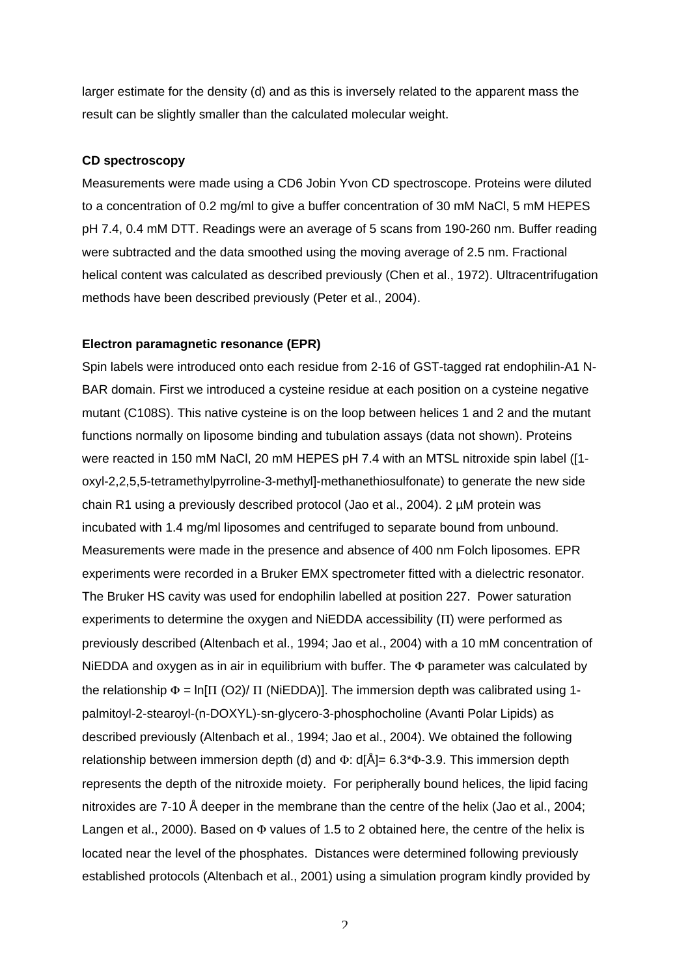larger estimate for the density (d) and as this is inversely related to the apparent mass the result can be slightly smaller than the calculated molecular weight.

## **CD spectroscopy**

Measurements were made using a CD6 Jobin Yvon CD spectroscope. Proteins were diluted to a concentration of 0.2 mg/ml to give a buffer concentration of 30 mM NaCl, 5 mM HEPES pH 7.4, 0.4 mM DTT. Readings were an average of 5 scans from 190-260 nm. Buffer reading were subtracted and the data smoothed using the moving average of 2.5 nm. Fractional helical content was calculated as described previously (Chen et al., 1972). Ultracentrifugation methods have been described previously (Peter et al., 2004).

#### **Electron paramagnetic resonance (EPR)**

Spin labels were introduced onto each residue from 2-16 of GST-tagged rat endophilin-A1 N-BAR domain. First we introduced a cysteine residue at each position on a cysteine negative mutant (C108S). This native cysteine is on the loop between helices 1 and 2 and the mutant functions normally on liposome binding and tubulation assays (data not shown). Proteins were reacted in 150 mM NaCl, 20 mM HEPES pH 7.4 with an MTSL nitroxide spin label ([1 oxyl-2,2,5,5-tetramethylpyrroline-3-methyl]-methanethiosulfonate) to generate the new side chain R1 using a previously described protocol (Jao et al., 2004). 2 µM protein was incubated with 1.4 mg/ml liposomes and centrifuged to separate bound from unbound. Measurements were made in the presence and absence of 400 nm Folch liposomes. EPR experiments were recorded in a Bruker EMX spectrometer fitted with a dielectric resonator. The Bruker HS cavity was used for endophilin labelled at position 227. Power saturation experiments to determine the oxygen and NiEDDA accessibility  $(II)$  were performed as previously described (Altenbach et al., 1994; Jao et al., 2004) with a 10 mM concentration of NiEDDA and oxygen as in air in equilibrium with buffer. The  $\Phi$  parameter was calculated by the relationship  $\Phi$  = ln[ $\Pi$  (O2)/  $\Pi$  (NiEDDA)]. The immersion depth was calibrated using 1palmitoyl-2-stearoyl-(n-DOXYL)-sn-glycero-3-phosphocholine (Avanti Polar Lipids) as described previously (Altenbach et al., 1994; Jao et al., 2004). We obtained the following relationship between immersion depth (d) and  $\Phi$ : d[Å]= 6.3\* $\Phi$ -3.9. This immersion depth represents the depth of the nitroxide moiety. For peripherally bound helices, the lipid facing nitroxides are 7-10 Å deeper in the membrane than the centre of the helix (Jao et al., 2004; Langen et al., 2000). Based on  $\Phi$  values of 1.5 to 2 obtained here, the centre of the helix is located near the level of the phosphates. Distances were determined following previously established protocols (Altenbach et al., 2001) using a simulation program kindly provided by

 $\mathcal{D}_{\alpha}$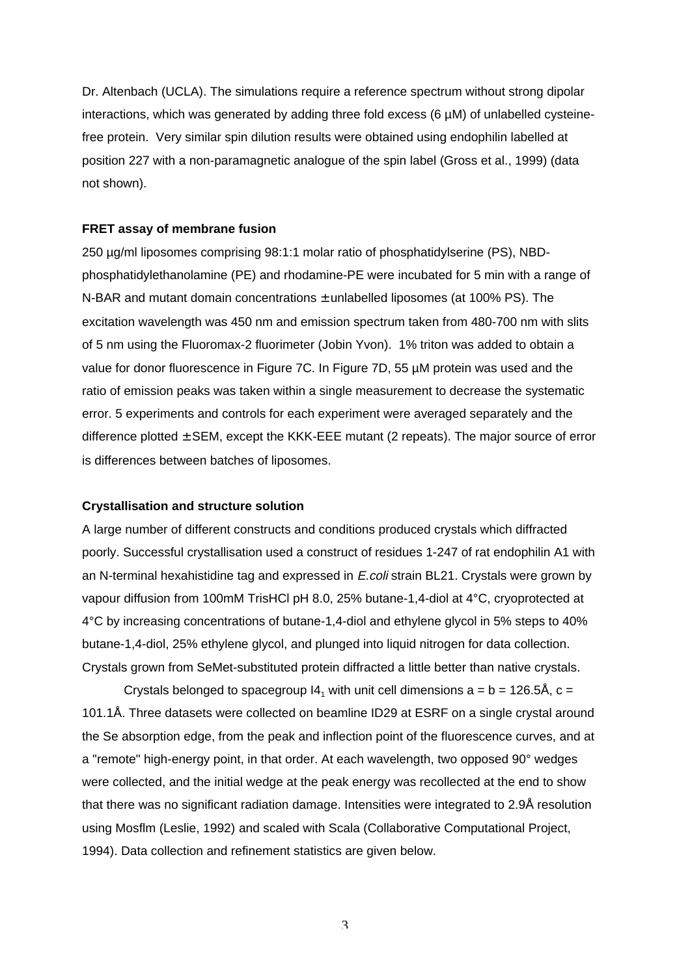Dr. Altenbach (UCLA). The simulations require a reference spectrum without strong dipolar interactions, which was generated by adding three fold excess (6 µM) of unlabelled cysteinefree protein. Very similar spin dilution results were obtained using endophilin labelled at position 227 with a non-paramagnetic analogue of the spin label (Gross et al., 1999) (data not shown).

## **FRET assay of membrane fusion**

250 µg/ml liposomes comprising 98:1:1 molar ratio of phosphatidylserine (PS), NBDphosphatidylethanolamine (PE) and rhodamine-PE were incubated for 5 min with a range of N-BAR and mutant domain concentrations  $\pm$  unlabelled liposomes (at 100% PS). The excitation wavelength was 450 nm and emission spectrum taken from 480-700 nm with slits of 5 nm using the Fluoromax-2 fluorimeter (Jobin Yvon). 1% triton was added to obtain a value for donor fluorescence in Figure 7C. In Figure 7D, 55 µM protein was used and the ratio of emission peaks was taken within a single measurement to decrease the systematic error. 5 experiments and controls for each experiment were averaged separately and the difference plotted  $\pm$  SEM, except the KKK-EEE mutant (2 repeats). The major source of error is differences between batches of liposomes.

## **Crystallisation and structure solution**

A large number of different constructs and conditions produced crystals which diffracted poorly. Successful crystallisation used a construct of residues 1-247 of rat endophilin A1 with an N-terminal hexahistidine tag and expressed in *E.coli* strain BL21. Crystals were grown by vapour diffusion from 100mM TrisHCl pH 8.0, 25% butane-1,4-diol at 4°C, cryoprotected at 4°C by increasing concentrations of butane-1,4-diol and ethylene glycol in 5% steps to 40% butane-1,4-diol, 25% ethylene glycol, and plunged into liquid nitrogen for data collection. Crystals grown from SeMet-substituted protein diffracted a little better than native crystals.

Crystals belonged to spacegroup  $14<sub>1</sub>$  with unit cell dimensions a = b = 126.5Å, c = 101.1Å. Three datasets were collected on beamline ID29 at ESRF on a single crystal around the Se absorption edge, from the peak and inflection point of the fluorescence curves, and at a "remote" high-energy point, in that order. At each wavelength, two opposed 90° wedges were collected, and the initial wedge at the peak energy was recollected at the end to show that there was no significant radiation damage. Intensities were integrated to 2.9Å resolution using Mosflm (Leslie, 1992) and scaled with Scala (Collaborative Computational Project, 1994). Data collection and refinement statistics are given below.

3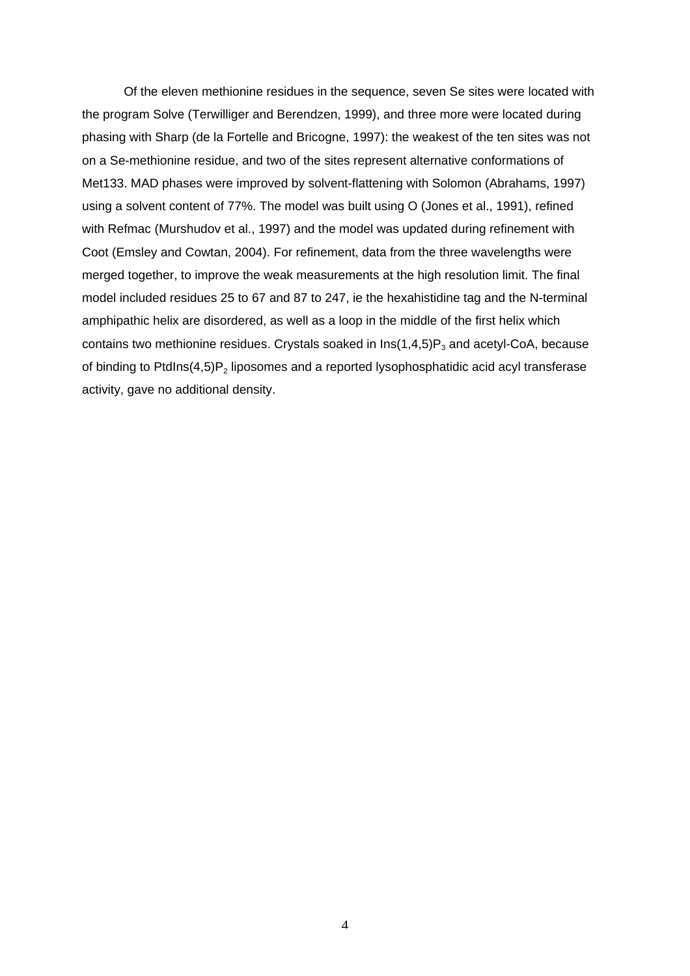Of the eleven methionine residues in the sequence, seven Se sites were located with the program Solve (Terwilliger and Berendzen, 1999), and three more were located during phasing with Sharp (de la Fortelle and Bricogne, 1997): the weakest of the ten sites was not on a Se-methionine residue, and two of the sites represent alternative conformations of Met133. MAD phases were improved by solvent-flattening with Solomon (Abrahams, 1997) using a solvent content of 77%. The model was built using O (Jones et al., 1991), refined with Refmac (Murshudov et al., 1997) and the model was updated during refinement with Coot (Emsley and Cowtan, 2004). For refinement, data from the three wavelengths were merged together, to improve the weak measurements at the high resolution limit. The final model included residues 25 to 67 and 87 to 247, ie the hexahistidine tag and the N-terminal amphipathic helix are disordered, as well as a loop in the middle of the first helix which contains two methionine residues. Crystals soaked in  $Ins(1,4,5)P_3$  and acetyl-CoA, because of binding to PtdIns(4,5) $P_2$  liposomes and a reported lysophosphatidic acid acyl transferase activity, gave no additional density.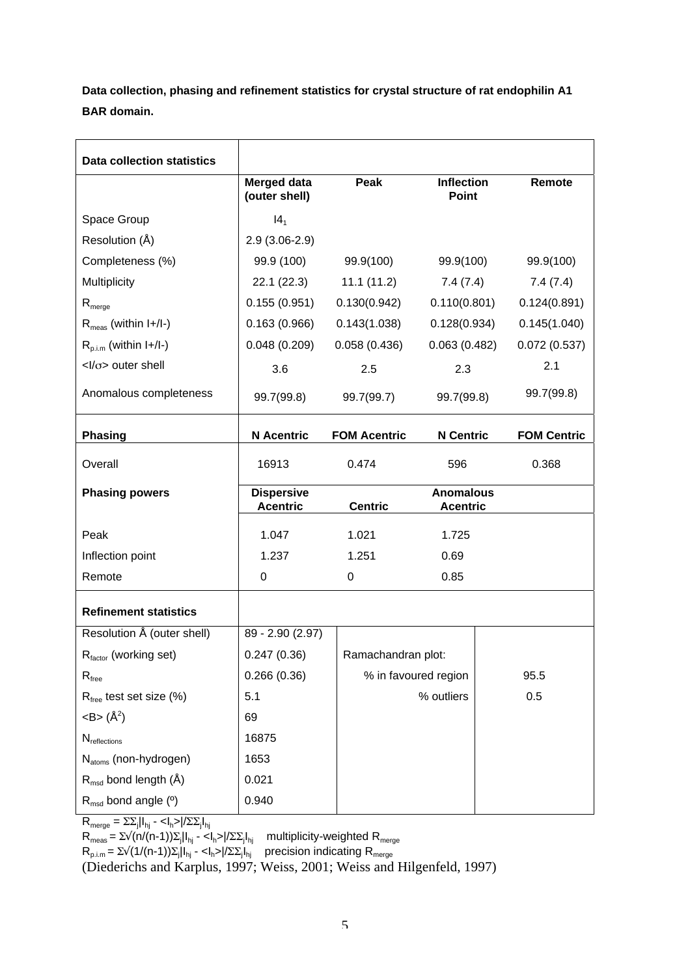**Data collection, phasing and refinement statistics for crystal structure of rat endophilin A1 BAR domain.**

| Data collection statistics                |                                      |                      |                                     |  |                    |
|-------------------------------------------|--------------------------------------|----------------------|-------------------------------------|--|--------------------|
|                                           | <b>Merged data</b><br>(outer shell)  | Peak                 | <b>Inflection</b><br><b>Point</b>   |  | Remote             |
| Space Group                               | 14 <sub>1</sub>                      |                      |                                     |  |                    |
| Resolution (Å)                            | $2.9(3.06-2.9)$                      |                      |                                     |  |                    |
| Completeness (%)                          | 99.9 (100)                           | 99.9(100)            | 99.9(100)                           |  | 99.9(100)          |
| Multiplicity                              | 22.1(22.3)                           | 11.1(11.2)           | 7.4(7.4)                            |  | 7.4(7.4)           |
| $R_{\text{merge}}$                        | 0.155(0.951)                         | 0.130(0.942)         | 0.110(0.801)                        |  | 0.124(0.891)       |
| $R_{meas}$ (within $I+$ / $I-$ )          | 0.163(0.966)                         | 0.143(1.038)         | 0.128(0.934)                        |  | 0.145(1.040)       |
| $R_{p.i.m}$ (within $I+$ / $I-$ )         | 0.048(0.209)                         | 0.058(0.436)         | 0.063(0.482)                        |  | 0.072(0.537)       |
| $<$ l/ $\sigma$ > outer shell             | 3.6                                  | 2.5                  | 2.3                                 |  | 2.1                |
| Anomalous completeness                    | 99.7(99.8)                           | 99.7(99.7)           | 99.7(99.8)                          |  | 99.7(99.8)         |
| <b>Phasing</b>                            | <b>N</b> Acentric                    | <b>FOM Acentric</b>  | <b>N</b> Centric                    |  | <b>FOM Centric</b> |
| Overall                                   | 16913                                | 0.474                | 596                                 |  | 0.368              |
| <b>Phasing powers</b>                     | <b>Dispersive</b><br><b>Acentric</b> | <b>Centric</b>       | <b>Anomalous</b><br><b>Acentric</b> |  |                    |
| Peak                                      | 1.047                                | 1.021                | 1.725                               |  |                    |
| Inflection point                          | 1.237                                | 1.251                | 0.69                                |  |                    |
| Remote                                    | 0                                    | 0                    | 0.85                                |  |                    |
| <b>Refinement statistics</b>              |                                      |                      |                                     |  |                    |
| Resolution Å (outer shell)                | 89 - 2.90 (2.97)                     |                      |                                     |  |                    |
| R <sub>factor</sub> (working set)         | 0.247(0.36)                          | Ramachandran plot:   |                                     |  |                    |
| $\mathsf{R}_{\mathsf{free}}$              | 0.266(0.36)                          | % in favoured region |                                     |  | 95.5               |
| R <sub>free</sub> test set size (%)       | 5.1                                  |                      | % outliers                          |  | 0.5                |
| $\langle B \rangle$ (Å <sup>2</sup> )     | 69                                   |                      |                                     |  |                    |
| $N_{\text{reflections}}$                  | 16875                                |                      |                                     |  |                    |
| N <sub>atoms</sub> (non-hydrogen)         | 1653                                 |                      |                                     |  |                    |
| $R_{\text{msd}}$ bond length (Å)          | 0.021                                |                      |                                     |  |                    |
| $R_{\text{msd}}$ bond angle ( $\degree$ ) | 0.940                                |                      |                                     |  |                    |

 $R_{\text{merge}} = \sum \sum_{j} |I_{hj} - I_{h} - I_{h}| / \sum \sum_{j} |I_{hj}$ 

 $R_{\text{meas}} = \Sigma \sqrt{(n/ (n-1)) \Sigma_j} \mathbb{I}_{\mathsf{h}_j}$  -  $<\mathsf{I}_{\mathsf{h}} > |\sqrt{\Sigma \Sigma_j} \mathbb{I}_{\mathsf{h}_j}|$  multiplicity-weighted  $R_{\text{merge}}$ 

 $R_{p.i.m} = \Sigma \sqrt{(1/(n-1))\Sigma_j}|I_{hj} - \langle I_{h} \rangle / \Sigma \Sigma_j I_{hj}$  precision indicating  $R_{merge}$ 

(Diederichs and Karplus, 1997; Weiss, 2001; Weiss and Hilgenfeld, 1997)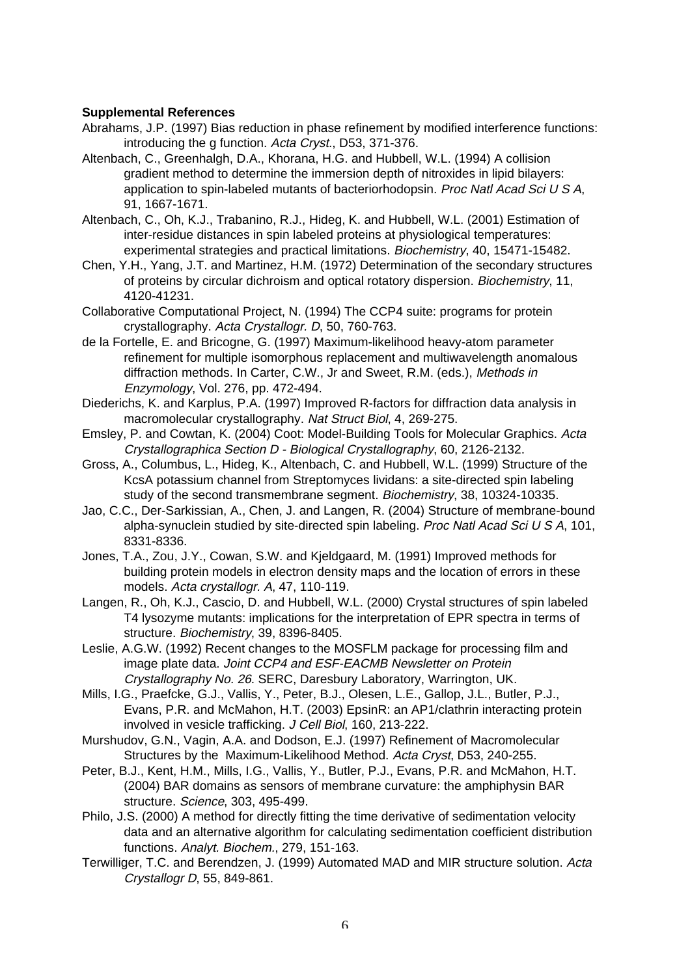# **Supplemental References**

- Abrahams, J.P. (1997) Bias reduction in phase refinement by modified interference functions: introducing the g function. Acta Cryst., D53, 371-376.
- Altenbach, C., Greenhalgh, D.A., Khorana, H.G. and Hubbell, W.L. (1994) A collision gradient method to determine the immersion depth of nitroxides in lipid bilayers: application to spin-labeled mutants of bacteriorhodopsin. Proc Natl Acad Sci U S A, 91, 1667-1671.
- Altenbach, C., Oh, K.J., Trabanino, R.J., Hideg, K. and Hubbell, W.L. (2001) Estimation of inter-residue distances in spin labeled proteins at physiological temperatures: experimental strategies and practical limitations. Biochemistry, 40, 15471-15482.
- Chen, Y.H., Yang, J.T. and Martinez, H.M. (1972) Determination of the secondary structures of proteins by circular dichroism and optical rotatory dispersion. Biochemistry, 11, 4120-41231.
- Collaborative Computational Project, N. (1994) The CCP4 suite: programs for protein crystallography. Acta Crystallogr. D, 50, 760-763.
- de la Fortelle, E. and Bricogne, G. (1997) Maximum-likelihood heavy-atom parameter refinement for multiple isomorphous replacement and multiwavelength anomalous diffraction methods. In Carter, C.W., Jr and Sweet, R.M. (eds.), Methods in Enzymology, Vol. 276, pp. 472-494.
- Diederichs, K. and Karplus, P.A. (1997) Improved R-factors for diffraction data analysis in macromolecular crystallography. Nat Struct Biol, 4, 269-275.
- Emsley, P. and Cowtan, K. (2004) Coot: Model-Building Tools for Molecular Graphics. Acta Crystallographica Section D - Biological Crystallography, 60, 2126-2132.
- Gross, A., Columbus, L., Hideg, K., Altenbach, C. and Hubbell, W.L. (1999) Structure of the KcsA potassium channel from Streptomyces lividans: a site-directed spin labeling study of the second transmembrane segment. Biochemistry, 38, 10324-10335.
- Jao, C.C., Der-Sarkissian, A., Chen, J. and Langen, R. (2004) Structure of membrane-bound alpha-synuclein studied by site-directed spin labeling. Proc Natl Acad Sci U S A, 101, 8331-8336.
- Jones, T.A., Zou, J.Y., Cowan, S.W. and Kjeldgaard, M. (1991) Improved methods for building protein models in electron density maps and the location of errors in these models. Acta crystallogr. A, 47, 110-119.
- Langen, R., Oh, K.J., Cascio, D. and Hubbell, W.L. (2000) Crystal structures of spin labeled T4 lysozyme mutants: implications for the interpretation of EPR spectra in terms of structure. Biochemistry, 39, 8396-8405.
- Leslie, A.G.W. (1992) Recent changes to the MOSFLM package for processing film and image plate data. Joint CCP4 and ESF-EACMB Newsletter on Protein Crystallography No. 26. SERC, Daresbury Laboratory, Warrington, UK.
- Mills, I.G., Praefcke, G.J., Vallis, Y., Peter, B.J., Olesen, L.E., Gallop, J.L., Butler, P.J., Evans, P.R. and McMahon, H.T. (2003) EpsinR: an AP1/clathrin interacting protein involved in vesicle trafficking. J Cell Biol, 160, 213-222.
- Murshudov, G.N., Vagin, A.A. and Dodson, E.J. (1997) Refinement of Macromolecular Structures by the Maximum-Likelihood Method. Acta Cryst, D53, 240-255.
- Peter, B.J., Kent, H.M., Mills, I.G., Vallis, Y., Butler, P.J., Evans, P.R. and McMahon, H.T. (2004) BAR domains as sensors of membrane curvature: the amphiphysin BAR structure. Science, 303, 495-499.
- Philo, J.S. (2000) A method for directly fitting the time derivative of sedimentation velocity data and an alternative algorithm for calculating sedimentation coefficient distribution functions. Analyt. Biochem., 279, 151-163.
- Terwilliger, T.C. and Berendzen, J. (1999) Automated MAD and MIR structure solution. Acta Crystallogr D, 55, 849-861.